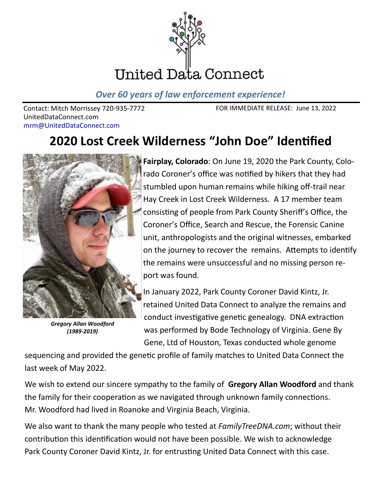

*Over 60 years of law enforcement experience!*

Contact: Mitch Morrissey 720-935-7772 UnitedDataConnect.com mrm@UnitedDataConnect.com

FOR IMMEDIATE RELEASE: June 13, 2022

## **2020 Lost Creek Wilderness "John Doe" Identified**



*Gregory Allan Woodford (1989-2019)*

**Fairplay, Colorado**: On June 19, 2020 the Park County, Colorado Coroner's office was notified by hikers that they had stumbled upon human remains while hiking off-trail near Hay Creek in Lost Creek Wilderness. A 17 member team consisting of people from Park County Sheriff's Office, the Coroner's Office, Search and Rescue, the Forensic Canine unit, anthropologists and the original witnesses, embarked on the journey to recover the remains. Attempts to identify the remains were unsuccessful and no missing person report was found.

In January 2022, Park County Coroner David Kintz, Jr. retained United Data Connect to analyze the remains and conduct investigative genetic genealogy. DNA extraction was performed by Bode Technology of Virginia. Gene By Gene, Ltd of Houston, Texas conducted whole genome

sequencing and provided the genetic profile of family matches to United Data Connect the last week of May 2022.

We wish to extend our sincere sympathy to the family of **Gregory Allan Woodford** and thank the family for their cooperation as we navigated through unknown family connections. Mr. Woodford had lived in Roanoke and Virginia Beach, Virginia.

We also want to thank the many people who tested at *FamilyTreeDNA.com*; without their contribution this identification would not have been possible. We wish to acknowledge Park County Coroner David Kintz, Jr. for entrusting United Data Connect with this case.